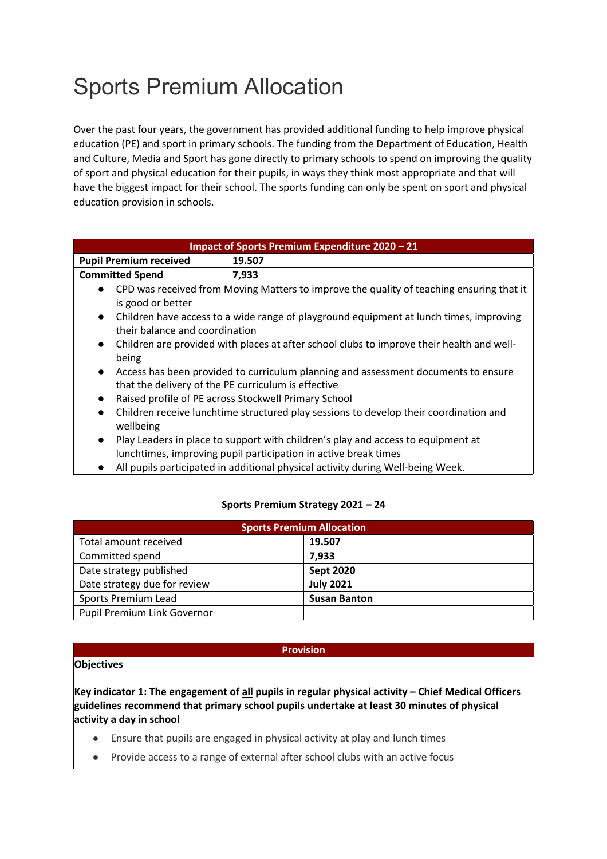# Sports Premium Allocation

Over the past four years, the government has provided additional funding to help improve physical education (PE) and sport in primary schools. The funding from the Department of Education, Health and Culture, Media and Sport has gone directly to primary schools to spend on improving the quality of sport and physical education for their pupils, in ways they think most appropriate and that will have the biggest impact for their school. The sports funding can only be spent on sport and physical education provision in schools.

| Impact of Sports Premium Expenditure 2020 - 21                                                         |                                                                                          |  |  |
|--------------------------------------------------------------------------------------------------------|------------------------------------------------------------------------------------------|--|--|
| <b>Pupil Premium received</b>                                                                          | 19.507                                                                                   |  |  |
| <b>Committed Spend</b>                                                                                 | 7,933                                                                                    |  |  |
| $\bullet$                                                                                              | CPD was received from Moving Matters to improve the quality of teaching ensuring that it |  |  |
| is good or better                                                                                      |                                                                                          |  |  |
| Children have access to a wide range of playground equipment at lunch times, improving<br>$\bullet$    |                                                                                          |  |  |
| their balance and coordination                                                                         |                                                                                          |  |  |
| Children are provided with places at after school clubs to improve their health and well-<br>$\bullet$ |                                                                                          |  |  |
| being                                                                                                  |                                                                                          |  |  |
| Access has been provided to curriculum planning and assessment documents to ensure<br>$\bullet$        |                                                                                          |  |  |
| that the delivery of the PE curriculum is effective                                                    |                                                                                          |  |  |
| Raised profile of PE across Stockwell Primary School<br>$\bullet$                                      |                                                                                          |  |  |
| Children receive lunchtime structured play sessions to develop their coordination and<br>$\bullet$     |                                                                                          |  |  |
| wellbeing                                                                                              |                                                                                          |  |  |
| $\bullet$                                                                                              | Play Leaders in place to support with children's play and access to equipment at         |  |  |
| lunchtimes, improving pupil participation in active break times                                        |                                                                                          |  |  |
|                                                                                                        | All nunils participated in additional physical activity during Well-being Week           |  |  |

### All pupils participated in additional physical activity during Well-being Week.

#### **Sports Premium Strategy 2021 – 24**

| <b>Sports Premium Allocation</b> |                     |  |  |
|----------------------------------|---------------------|--|--|
| Total amount received            | 19.507              |  |  |
| Committed spend                  | 7.933               |  |  |
| Date strategy published          | <b>Sept 2020</b>    |  |  |
| Date strategy due for review     | <b>July 2021</b>    |  |  |
| Sports Premium Lead              | <b>Susan Banton</b> |  |  |
| Pupil Premium Link Governor      |                     |  |  |

### **Provision**

### **Objectives**

**Key indicator 1: The engagement of all pupils in regular physical activity – Chief Medical Officers guidelines recommend that primary school pupils undertake at least 30 minutes of physical activity a day in school**

- Ensure that pupils are engaged in physical activity at play and lunch times
- Provide access to a range of external after school clubs with an active focus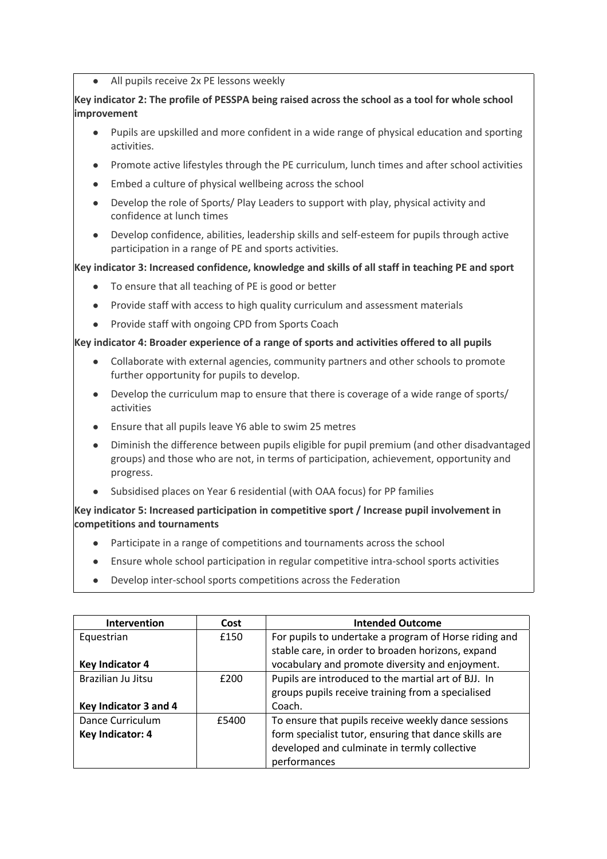● All pupils receive 2x PE lessons weekly

## **Key indicator 2: The profile of PESSPA being raised across the school as a tool for whole school improvement**

- Pupils are upskilled and more confident in a wide range of physical education and sporting activities.
- Promote active lifestyles through the PE curriculum, lunch times and after school activities
- Embed a culture of physical wellbeing across the school
- Develop the role of Sports/ Play Leaders to support with play, physical activity and confidence at lunch times
- Develop confidence, abilities, leadership skills and self-esteem for pupils through active participation in a range of PE and sports activities.

### **Key indicator 3: Increased confidence, knowledge and skills of all staff in teaching PE and sport**

- To ensure that all teaching of PE is good or better
- Provide staff with access to high quality curriculum and assessment materials
- Provide staff with ongoing CPD from Sports Coach

### **Key indicator 4: Broader experience of a range of sports and activities offered to all pupils**

- Collaborate with external agencies, community partners and other schools to promote further opportunity for pupils to develop.
- Develop the curriculum map to ensure that there is coverage of a wide range of sports/ activities
- Ensure that all pupils leave Y6 able to swim 25 metres
- Diminish the difference between pupils eligible for pupil premium (and other disadvantaged groups) and those who are not, in terms of participation, achievement, opportunity and progress.
- Subsidised places on Year 6 residential (with OAA focus) for PP families

### **Key indicator 5: Increased participation in competitive sport / Increase pupil involvement in competitions and tournaments**

- Participate in a range of competitions and tournaments across the school
- Ensure whole school participation in regular competitive intra-school sports activities
- Develop inter-school sports competitions across the Federation

| Intervention          | Cost  | <b>Intended Outcome</b>                               |
|-----------------------|-------|-------------------------------------------------------|
| Equestrian            | £150  | For pupils to undertake a program of Horse riding and |
|                       |       | stable care, in order to broaden horizons, expand     |
| Key Indicator 4       |       | vocabulary and promote diversity and enjoyment.       |
| Brazilian Ju Jitsu    | £200  | Pupils are introduced to the martial art of BJJ. In   |
|                       |       | groups pupils receive training from a specialised     |
| Key Indicator 3 and 4 |       | Coach.                                                |
| Dance Curriculum      | £5400 | To ensure that pupils receive weekly dance sessions   |
| Key Indicator: 4      |       | form specialist tutor, ensuring that dance skills are |
|                       |       | developed and culminate in termly collective          |
|                       |       | performances                                          |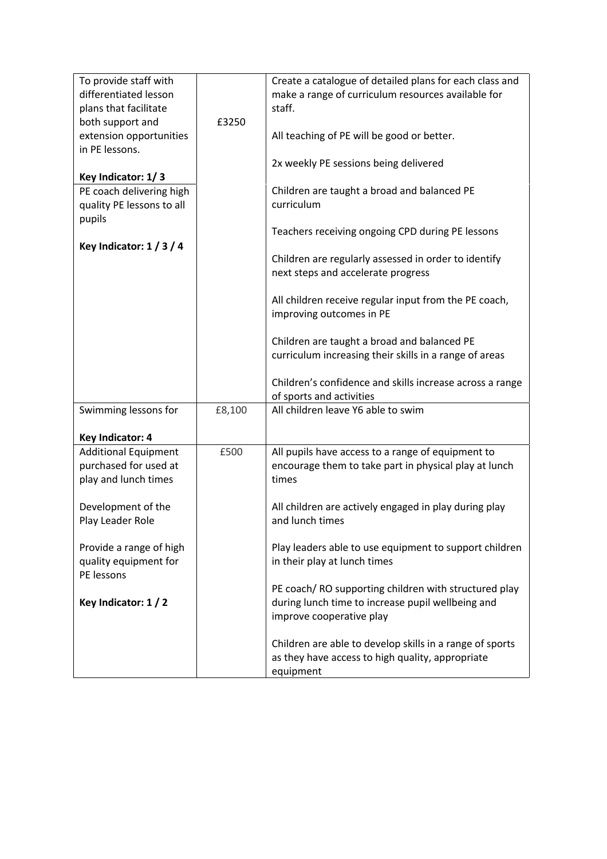| To provide staff with<br>differentiated lesson<br>plans that facilitate<br>both support and | £3250  | Create a catalogue of detailed plans for each class and<br>make a range of curriculum resources available for<br>staff.               |
|---------------------------------------------------------------------------------------------|--------|---------------------------------------------------------------------------------------------------------------------------------------|
| extension opportunities<br>in PE lessons.                                                   |        | All teaching of PE will be good or better.                                                                                            |
|                                                                                             |        | 2x weekly PE sessions being delivered                                                                                                 |
| Key Indicator: 1/3                                                                          |        |                                                                                                                                       |
| PE coach delivering high<br>quality PE lessons to all<br>pupils                             |        | Children are taught a broad and balanced PE<br>curriculum                                                                             |
|                                                                                             |        | Teachers receiving ongoing CPD during PE lessons                                                                                      |
| Key Indicator: $1/3/4$                                                                      |        | Children are regularly assessed in order to identify<br>next steps and accelerate progress                                            |
|                                                                                             |        | All children receive regular input from the PE coach,<br>improving outcomes in PE                                                     |
|                                                                                             |        | Children are taught a broad and balanced PE<br>curriculum increasing their skills in a range of areas                                 |
|                                                                                             |        | Children's confidence and skills increase across a range<br>of sports and activities                                                  |
| Swimming lessons for                                                                        | £8,100 | All children leave Y6 able to swim                                                                                                    |
| Key Indicator: 4                                                                            |        |                                                                                                                                       |
| <b>Additional Equipment</b>                                                                 | £500   | All pupils have access to a range of equipment to                                                                                     |
| purchased for used at<br>play and lunch times                                               |        | encourage them to take part in physical play at lunch<br>times                                                                        |
| Development of the<br>Play Leader Role                                                      |        | All children are actively engaged in play during play<br>and lunch times                                                              |
| Provide a range of high<br>quality equipment for<br>PE lessons                              |        | Play leaders able to use equipment to support children<br>in their play at lunch times                                                |
| Key Indicator: 1 / 2                                                                        |        | PE coach/RO supporting children with structured play<br>during lunch time to increase pupil wellbeing and<br>improve cooperative play |
|                                                                                             |        | Children are able to develop skills in a range of sports<br>as they have access to high quality, appropriate<br>equipment             |